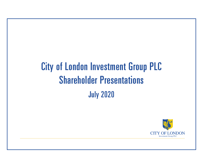# City of London Investment Group PLC Shareholder Presentations July 2020

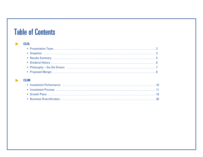## **Table of Contents**

#### **CLIG**  $\begin{array}{c} \hline \end{array}$

### **CLIM**

 $\blacktriangleright$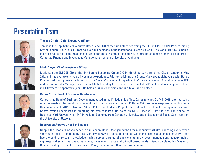### Presentation Team



### **Thomas Griffith, Chief Executive Officer**

Tom was the Deputy Chief Executive Officer and COO of the firm before becoming the CEO in March 2019. Prior to joining City of London Group in 2000, Tom held various positions in the institutional client division of The Vanguard Group including roles as both a Client Relationship Manager and a Marketing Executive. In 1986 he obtained a bachelor's degree in Corporate Finance and Investment Management from the University of Alabama.



### **Mark Dwyer, Chief Investment Officer**

Mark was the EM CEF CIO of the firm before becoming Group CIO in March 2019. He re-joined City of London in May 2012 and has over twenty years investment experience. Prior to re-joining the Group, Mark spent eight years with Banco Commercial Portuguese as a Director in the Asset Management department. Mark initially joined City of London in 1995 and was a Portfolio Manager based in the UK, followed by the US office. He established City of London's Singapore Office in 2000 where he spent two years. He holds a BA in economics and is a CFA Charterholder.



### **Carlos Yuste, Head of Business Development**

Carlos is the Head of Business Development based in the Philadelphia office. Carlos rejoined CLIM in 2018, after pursuing other interests in the asset management field. Carlos originally joined CLIM in 2000, and was responsible for Business Development until 2015. Between 1994 and 1998 he worked as a Project Officer at the International Development Research Centre, which specializes in emerging markets research. He holds an MBA (Finance) from the Schulich School of Business, York University, an MA in Political Economy from Carleton University, and a Bachelor of Social Sciences from the University of Ottawa.



### **Deepranjan Agrawal, Head of Finance**

Deep is the Head of Finance based in our London office. Deep joined the firm in January 2020 after spending over sixteen years with Deloitte and recently three years with RSM in their audit practice within the asset management industry. Deep has a wealth of relevant knowledge having served a range of audit clients in the asset management industry including large and small investment managers, Investment Trusts and UK authorised funds. Deep completed his Master of Commerce degree from the University of Pune, India and is a Chartered Accountant.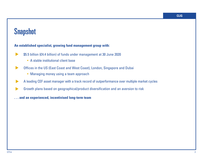## **Snapshot**

### **An established specialist, growing fund management group with:**

- \$5.5 billion (£4.4 billion) of funds under management at 30 June 2020 ▲
	- A stable institutional client base
- Offices in the US (East Coast and West Coast), London, Singapore and Dubai ▲
	- Managing money using a team approach
- A leading CEF asset manager with a track record of outperformance over multiple market cycles ▲
- Growth plans based on geographical/product diversification and an aversion to risk ▲
- **. . . and an experienced, incentivised long-term team**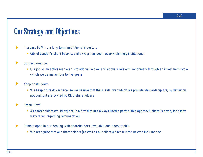## Our Strategy and Objectives

### Increase FuM from long term institutional investors

• City of London's client base is, and always has been, overwhelmingly institutional

#### **Outperformance** ▲

▲

• Our job as an active manager is to add value over and above a relevant benchmark through an investment cycle which we define as four to five years

#### Keep costs down ▲

• We keep costs down because we believe that the assets over which we provide stewardship are, by definition, not ours but are owned by CLIG shareholders

#### Retain Staff ▲

- As shareholders would expect, in a firm that has always used a partnership approach, there is a very long term view taken regarding remuneration
- Remain open in our dealing with shareholders, available and accountable
	- We recognise that our shareholders (as well as our clients) have trusted us with their money

▲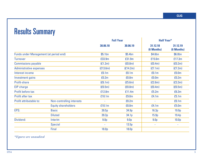## Results Summary

|                                               |                            | <b>Full Year</b>         |                   | <b>Half Year*</b>      |                        |
|-----------------------------------------------|----------------------------|--------------------------|-------------------|------------------------|------------------------|
|                                               |                            | 30.06.18                 | 30.06.19          | 31.12.18<br>(6 Months) | 31.12.19<br>(6 Months) |
| <b>Funds under Management (at period end)</b> |                            | \$5.1bn                  | \$5.4bn           | \$4.6bn                | \$6.0bn                |
| <b>Turnover</b>                               |                            | £33.9m                   | £31.9m            | £15.6m                 | £17.3m                 |
| <b>Commissions payable</b>                    |                            | (E1.2m)                  | f(0.8m)           | (f0.4m)                | f(0.2m)                |
| <b>Administrative expenses</b>                |                            | (E13.6m)                 | (f14.2m)          | (E7.1m)                | (f7.2m)                |
| Interest income                               |                            | £0.1m                    | £0.1m             | £0.1m                  | £0.0m                  |
| Investment gains                              |                            | £0.2m                    | £0.8m             | £0.0 <sub>m</sub>      | £0.2m                  |
| Profit-share                                  |                            | (E6.1m)                  | (E5.6m)           | (E2.6m)                | (E3.3m)                |
| EIP charge                                    |                            | (E0.5m)                  | f(0.8m)           | (E0.4m)                | (E0.5m)                |
| Profit before tax                             |                            | £12.8m                   | £11.4m            | £5.2m                  | £6.3m                  |
| Profit after tax                              |                            | £10.1m                   | £9.0m             | £4.1m                  | £5.1m                  |
| Profit attributable to:                       | Non-controlling interests  | $\overline{\phantom{a}}$ | £0.2m             |                        | £0.1m                  |
|                                               | <b>Equity shareholders</b> | £10.1m                   | £8.8m             | £4.1m                  | £5.0m                  |
| EPS:                                          | <b>Basic</b>               | 39.5p                    | 34.9p             | 16.3 <sub>p</sub>      | 19.9 <sub>p</sub>      |
|                                               | <b>Diluted</b>             | 39.3p                    | 34.1 <sub>p</sub> | 15.9 <sub>p</sub>      | 19.4 <sub>p</sub>      |
| Dividend:                                     | Interim                    | 9.0 <sub>p</sub>         | 9.0 <sub>p</sub>  | 9.0 <sub>p</sub>       | 10.0 <sub>p</sub>      |
|                                               | <b>Special</b>             | $\overline{\phantom{a}}$ | 13.5p             | ٠                      | $\blacksquare$         |
|                                               | Final                      | 18.0p                    | 18.0p             |                        |                        |

*\*Figures are unaudited*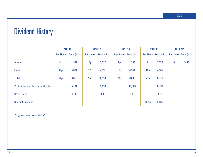## Dividend History

|                                     | 2015-16          |               | 2016-17 |                       | 2017-18 |                       | 2018-19 |                       | 2019-20*        |                       |
|-------------------------------------|------------------|---------------|---------|-----------------------|---------|-----------------------|---------|-----------------------|-----------------|-----------------------|
|                                     | <b>Per Share</b> | Total $(f k)$ |         | Per Share Total (£ k) |         | Per Share Total (£ k) |         | Per Share Total (£ k) |                 | Per Share Total (£ k) |
| Interim                             | 8p               | 1,997         | 8p      | 2,027                 | 9p      | 2,295                 | 9p      | 2,270                 | 10 <sub>p</sub> | 2,488                 |
| Final                               | 16p              | 4,021         | 17p     | 4,331                 | 18p     | 4,544                 | 18p     | 4,505                 |                 |                       |
| <b>Total</b>                        | 24p              | 6,018         | 25p     | 6,358                 | 27p     | 6,839                 | 27p     | 6,775                 |                 |                       |
| Profit attributable to shareholders |                  | 5,791         |         | 9,290                 |         | 10,060                |         | 8,799                 |                 |                       |
| <b>Cover Ratio</b><br>0.96          |                  |               | 1.46    |                       | 1.47    |                       | 1.30    |                       |                 |                       |
| <b>Special Dividend</b>             |                  |               |         |                       |         | 13.5p                 | 3,405   |                       |                 |                       |

*\*Figures are unaudited.*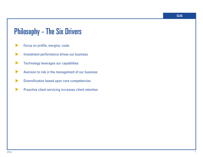## Philosophy - The Six Drivers

- Focus on profits, margins, costs  $\blacktriangleright$
- Investment performance drives our business  $\blacktriangleright$
- Technology leverages our capabilities  $\blacktriangleright$
- Aversion to risk in the management of our business  $\blacktriangleright$
- Diversification based upon core competencies  $\blacktriangleright$
- Proactive client servicing increases client retention  $\blacktriangleright$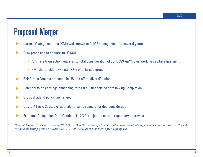## Proposed Merger

- Karpus Management Inc (KMI) well known to CLIG\* management for several years ▲
- CLIG proposing to acquire 100% KMI ▲
	- All share transaction, equates to total consideration of up to \$99.7m<sup>\*\*</sup>, plus working capital adjustment
	- KMI shareholders will own 48% of enlarged group
- Reinforces Group's presence in US and offers diversification ▲
- Potential to be earnings enhancing for first full financial year following Completion ▲
- Group dividend policy unchanged ▲
- COVID-19 risk: Strategic rationale remains sound after due consideration ▲
- Expected Completion Date October [1], 2020, subject to certain regulatory approvals ▲

*\*City of London Investment Group PLC (CLIG) is the parent of City of London Investment Management Company Limited (CLIM). \*\*Based on closing price at 8 June 2020 of £3.25, same date as merger agreement signed.*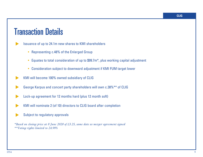## Transaction Details

▲

- Issuance of up to 24.1m new shares to KMI shareholders
	- Representing c.48% of the Enlarged Group
	- Equates to total consideration of up to \$99.7m\*, plus working capital adjustment
	- Consideration subject to downward adjustment if KMI FUM target lower
- KMI will become 100% owned subsidiary of CLIG ▲
- George Karpus and concert party shareholders will own c.38%\*\* of CLIG ▲
- Lock-up agreement for 12 months hard (plus 12 month soft) ▲
- KMI will nominate 2 (of 10) directors to CLIG board after completion ▲
- Subject to regulatory approvals ▲

*\*Based on closing price at 8 June 2020 of £3.25, same date as merger agreement signed \*\*Voting rights limited to 24.99%*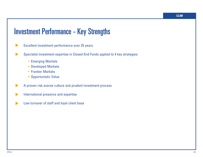## Investment Performance - Key Strengths

- Excellent investment performance over 25 years  $\blacktriangleright$
- Specialist investment expertise in Closed-End Funds applied to 4 key strategies: ▲
	- Emerging Markets
	- Developed Markets
	- Frontier Markets
	- Opportunistic Value
- A proven risk averse culture and prudent investment process ▲
- International presence and expertise  $\blacktriangleright$
- Low turnover of staff and loyal client base ▲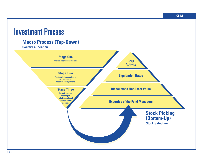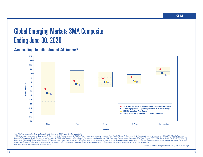## Global Emerging Markets SMA Composite Ending June 30, 2020

### **According to eVestment Alliance\***



*\*64.7% of the universe has been updated through Quarter 2 2020. Inception February 2004.*

*\*\*The benchmark was changed from the S&P Emerging BMI Plus on January 1, 2009 to better reflect the investment strategy of the Funds. The S&P Emerging BMI Plus was the successor index to the S&P/IFC Global Composite Index, the benchmark for the Funds prior to September 1, 2008, which has been discontinued. The current benchmark is the S&P Emerging Frontier Super Composite Net Total Return BMI (S&P Super BMI). The MSCI EM Net TR*  Index and iSbares MSCI Emerging Markets ETF are shown for comparative purposes. The above returns are presented as gross of fees performance figures, which do not reflect the deduction of investment management fees. The ac *return is reduced by the investment management fees and any other expenses the Fund may incur in the management of the account. Investment management fees are 1% per annum. Past performance is no guarantee of future results.*

*Source: eVestment Analytics System, S&P, MSCI, Bloomberg*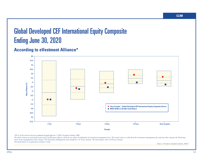## Global Developed CEF International Equity Composite Ending June 30, 2020

### **According to eVestment Alliance\***



*\*69.1% of the universe has been updated through Quarter 2 2020. Inception October 2009.*

The above returns are presented as gross of fees performance figures, which do not reflect the deduction of investment management fees. The actual return is reduced by the investment management fees and any other expenses *incur in the management of the account. The investment management and custody fee is 0.7% per annum. The total expense ratio is 0.8% per annum. Past performance is no guarantee of future results.*

*Source: eVestment Analytics System, MSCI*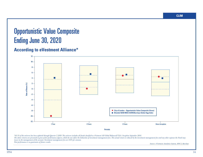## Opportunistic Value Composite Ending June 30, 2020

### **According to eVestment Alliance\***



*\*61.1% of the universe has been updated through Quarter 2 2020. The universe includes all funds classified as eVestment All Global Balanced/TAA. Inception September 2014.*

The above returns are presented as gross of fees performance figures, which do not reflect the deduction of investment management fees. The actual return is reduced by the investment management fees and any other expenses *incur in the management of the account. Investment management fees are 0.8% per annum. Past performance is no guarantee of future results.*

*Source: eVestment Analytics System, MSCI, Barclays*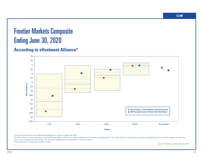## Frontier Markets Composite Ending June 30, 2020

### **According to eVestment Alliance\***



*\*64.4% of the universe has been updated through Quarter 2 2020. Inception July 2005.*

The above returns are presented as gross of fees performance figures, which do not reflect the deduction of investment management fees. The actual return is reduced by the investment management fees and any other expenses *incur in the management of the account. The investment management and custody fee is 1.25% per annum. Past performance is no guarantee of future results.*

*Source: eVestment Analytics System, S&P*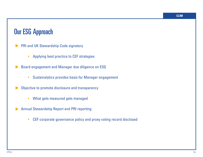### Our ESG Approach

- PRI and UK Stewardship Code signatory ▲
	- Applying best practice to CEF strategies

Board engagement and Manager due diligence on ESG ▲

- Sustainalytics provides basis for Manager engagement
- Objective to promote disclosure and transparency ▲
	- What gets measured gets managed
- Annual Stewardship Report and PRI reporting ▲
	- CEF corporate governance policy and proxy voting record disclosed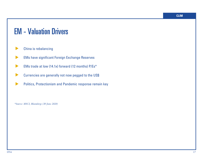## EM - Valuation Drivers

- China is rebalancing  $\blacktriangleright$
- EMs have significant Foreign Exchange Reserves ▲
- EMs trade at low (14.1x) forward (12 months) P/Es\* ▲
- Currencies are generally not now pegged to the US\$ ▲
- Politics, Protectionism and Pandemic response remain key  $\blacktriangleright$

*\*Source: MSCI, Bloomberg (30 June 2020)*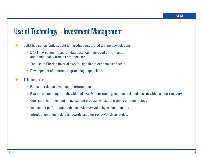## Use of Technology - Investment Management

- CLIM has consistently sought to introduce integrated technology solutions: ▲
	- DART A custom research database with improved performance and functionality from its predecessor
	- The use of Charles River allows for significant economies of scale
	- Development of internal programming capabilities
- This supports: ▲
	- Focus on relative investment performance
	- Five centre team approach, which allows 24 hour trading, reduces risk and assists with disaster recovery
	- Consistent improvement in investment process via use of training and technology
	- Investment performance achieved with low volatility vs. benchmarks
	- Introduction of multiple dashboards used for review/analysis of data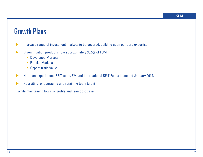## Growth Plans

- Increase range of investment markets to be covered, building upon our core expertise  $\blacktriangleright$
- Diversification products now approximately 30.5% of FUM  $\blacktriangleright$ 
	- Developed Markets
	- Frontier Markets
	- Opportunistic Value
- Hired an experienced REIT team. EM and International REIT Funds launched January 2019.  $\blacktriangleright$
- Recruiting, encouraging and retaining team talent  $\blacktriangleright$
- …while maintaining low risk profile and lean cost base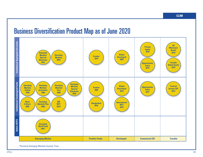#### Business Diversification Product Map as of June 2020 **Institutional Segregated Accounts Institutional Commingled Funds Institutional Segregated Accounts US Private Municipal Equity Bonds 2016 2018 Emerging Global Markets Emerging Frontier Developed Special Markets 2015 2009 Situations 2004 2012 Taxable Opportunistic Global Equity Value 2019 2014 Institutional Commingled Funds Emerging Emerging Emerging Emerging Markets Global Tactical Opportunistic Frontier Markets Markets Markets Developed Income CEF Special Value 2005 Global Investable Free 2010 2014 Situations 2017 1994 1996 2003 2018 China Emerging EM International Bangladesh A Share Markets Plus REIT REIT 2016 2019 2003 2009 2019 Dublin UCITS Dublin UCITS Emerging World Fund 1991\* Emerging Market Frontier Funds Developed Customized CEF Taxable**

\*Formerly Emerging Markets Country Trust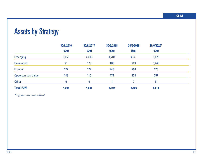## Assets by Strategy

|                            | 30/6/2016 | 30/6/2017        | 30/6/2018 | 30/6/2019 | 30/6/2020* |  |
|----------------------------|-----------|------------------|-----------|-----------|------------|--|
|                            | (Sm)      | (Sm)             | (Sm)      | (Sm)      | (Sm)       |  |
| <b>Emerging</b>            | 3,659     | 4,200            | 4,207     | 4,221     | 3,823      |  |
| <b>Developed</b>           | 71        | 179              | 480       | 729       | 1,245      |  |
| <b>Frontier</b>            | 127       | 172              | 245       | 206       | 175        |  |
| <b>Opportunistic Value</b> | 148       | 110              | 174       | 233       | 257        |  |
| <b>Other</b>               | $\bf{0}$  | $\boldsymbol{0}$ |           |           | 11         |  |
| <b>Total FUM</b>           | 4,005     | 4,661            | 5,107     | 5,396     | 5,511      |  |

*\*Figures are unaudited*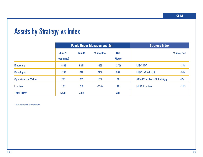## Assets by Strategy vs Index

|                            |               |               | <b>Funds Under Management (\$m)</b> | <b>Strategy Index</b> |                                 |               |
|----------------------------|---------------|---------------|-------------------------------------|-----------------------|---------------------------------|---------------|
|                            | <b>Jun-20</b> | <b>Jun-19</b> | $%$ inc/dec                         | <b>Net</b>            |                                 | $%$ inc / dec |
|                            | (estimate)    |               |                                     | <b>Flows</b>          |                                 |               |
| <b>Emerging</b>            | 3,828         | 4,221         | $-9%$                               | (275)                 | <b>MSCI EM</b>                  | $-3%$         |
| <b>Developed</b>           | 1,244         | 729           | 71%                                 | 551                   | <b>MSCI ACWI xUS</b>            | $-5%$         |
| <b>Opportunistic Value</b> | 256           | 233           | 10%                                 | 46                    | <b>ACWI/Barclays Global Agg</b> | 4%            |
| Frontier                   | 175           | 206           | $-15%$                              | 16                    | <b>MSCI Frontier</b>            | $-11%$        |
| <b>Total FUM*</b>          | 5,503         | 5,389         |                                     | 338                   |                                 |               |

*\*Excludes seed investments.*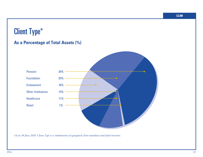## Client Type\*

### **As a Percentage of Total Assets (%)**



*\*As at 30 June 2020. Client Type is a combination of segregated client mandates and fund investors.*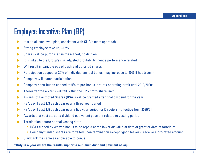## Employee Incentive Plan (EIP)

- It is an all employee plan, consistent with CLIG's team approach ▲
- Strong employee take up, ~65% ▲
- Shares will be purchased in the market, no dilution ▲
- It is linked to the Group's risk adjusted profitability, hence performance related ▲
- Will result in variable pay of cash and deferred shares ▲
- Participation capped at 20% of individual annual bonus (may increase to 30% if headroom) ▲
- Company will match participation ▲
- Company contribution capped at 5% of pre-bonus, pre-tax operating profit until 2019/2020\* ▲
- Thereafter the awards will fall within the 30% profit-share limit ▲
- Awards of Restricted Shares (RSAs) will be granted after final dividend for the year ▲
- RSA's will vest 1/3 each year over a three year period ▲
- RSA's will vest 1/5 each year over a five year period for Directors effective from 2020/21 ▲
- Awards that vest attract a dividend equivalent payment related to vesting period ▲
- Termination before normal vesting date: ▲
	- RSAs funded by waived bonus to be repaid at the lower of: value at date of grant or date of forfeiture
	- Company funded shares are forfeited upon termination except "good leavers" receive a pro-rated amount
	- Clawback the same as applicable to bonus

**\*Only in a year where the results support a minimum dividend payment of 24p**

▲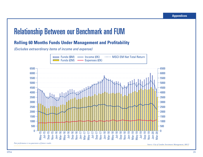## Relationship Between our Benchmark and FUM

### **Rolling 60 Months Funds Under Management and Profitability**

(Excludes extraordinary items of income and expense)



*Source: City of London Investment Management, MSCI*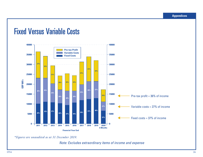### Fixed Versus Variable Costs



*\*Figures are unaudited as at 31 December 2019.*

Note: Excludes extraordinary items of income and expense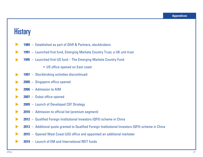### **History**

- **1989** Established as part of Olliff & Partners, stockbrokers ▲
- **1991** Launched first fund, Emerging Markets Country Trust, a UK unit trust ▲
- **1995** Launched first US fund The Emerging Markets Country Fund ▲
	- US office opened on East coast
- **1997** Stockbroking activities discontinued ▲
- **2000** Singapore office opened ▲
- **2006** Admission to AIM ▲
- **2007** Dubai office opened ▲
- **2009** Launch of Developed CEF Strategy ▲
- **2010** Admission to official list (premium segment) ▲
- **2012** Qualified Foreign Institutional Investors (QFII) scheme in China ▲
- **2013** Additional quota granted to Qualified Foreign Institutional Investors (QFII) scheme in China  $\blacktriangleright$
- **2015** Opened West Coast (US) office and appointed an additional marketer ▲
- **2019** Launch of EM and International REIT funds ▲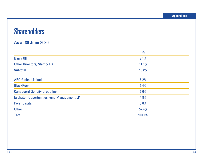## **Shareholders**

### **As at 30 June 2020**

|                                                  | $\frac{1}{2}$ |
|--------------------------------------------------|---------------|
| <b>Barry Olliff</b>                              | 7.1%          |
| <b>Other Directors, Staff &amp; EBT</b>          | 11.1%         |
| <b>Subtotal</b>                                  | 18.2%         |
| <b>APQ Global Limited</b>                        | 6.2%          |
| <b>BlackRock</b>                                 | 5.4%          |
| <b>Canaccord Genuity Group Inc.</b>              | 5.0%          |
| <b>Eschaton Opportunities Fund Management LP</b> | 4.8%          |
| <b>Polar Capital</b>                             | 3.0%          |
| <b>Other</b>                                     | 57.4%         |
| <b>Total</b>                                     | 100.0%        |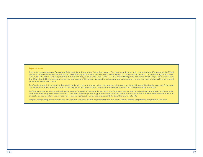#### **Important Notice**

City of London Investment Management Company Limited (CLIM) is authorised and regulated by the Financial Conduct Authority (FCA), registered as an Investment Advisor with the Securities and Exchange Commission (SEC) and regulated by the Dubai Financial Services Authority (DFSA). CLIM (registered in England and Wales No. 2851236) is a wholly owned subsidiary of City of London Investment Group plc. (CLIG) (registered in England and Wales No 2685257). Both CLIM and CLIG have their registered office at 77 Gracechurch Street, London, EC3V 0AS, United Kingdom. CLIM acts as Investment Manager to the World Markets Umbrella Fund plc which is authorised by the Central Bank of Ireland (CBI). All reasonable care has been taken in the preparation of this information. No responsibility can be accepted under any circumstances for errors of fact or omission. Values may fall as well as you may not get back the amount invested.

The information contained in this document is confidential and is intended only for the use of the person to whom it is given and is not to be reproduced or redistributed. It is intended for information purposes only. This does not constitute an offer to sell or the solicitation of an offer to buy any securities, nor will any sale of a security occur in any jurisdiction where such an offer, solicitation or sale would be unlawful.

The Funds have not been, and will not be, registered under the Investment Company Act of 1940, as amended, and interests of the Funds have not been, and will not be, registered under the Securities Act of 1933, as amended, and may only be offered via private placement transactions. An investment in the Funds may be made only pursuant to the applicable offering documents. Shares in the sub-funds of The World Markets Umbrella Fund plc are not available for sale in any jurisdiction in which such sale would be prohibited. In particular, the fund has not been registered under the United States Securities Act of 1933.

Changes in currency exchange rates will affect the value of the investment. Discounts are calculated using estimated NAVs by City of London's Research Department. Past performance is no guarantee of future results.